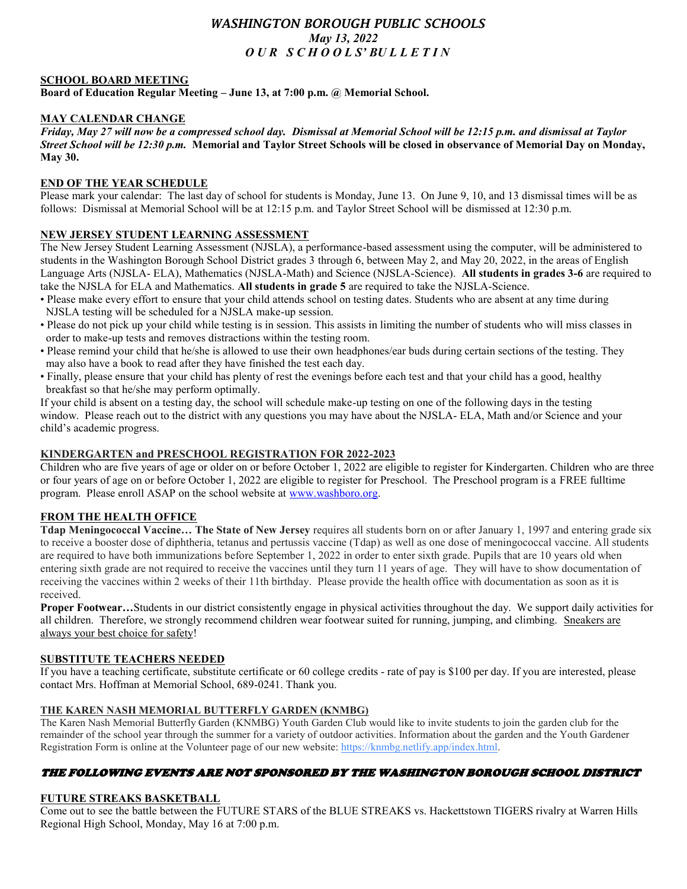# *WASHINGTON BOROUGH PUBLIC SCHOOLS May 13, 2022 O U R S C H O O L S' BU L L E T I N*

### **SCHOOL BOARD MEETING**

**Board of Education Regular Meeting – June 13, at 7:00 p.m. @ Memorial School.**

### **MAY CALENDAR CHANGE**

*Friday, May 27 will now be a compressed school day. Dismissal at Memorial School will be 12:15 p.m. and dismissal at Taylor Street School will be 12:30 p.m.* **Memorial and Taylor Street Schools will be closed in observance of Memorial Day on Monday, May 30.**

### **END OF THE YEAR SCHEDULE**

Please mark your calendar: The last day of school for students is Monday, June 13. On June 9, 10, and 13 dismissal times will be as follows: Dismissal at Memorial School will be at 12:15 p.m. and Taylor Street School will be dismissed at 12:30 p.m.

### **NEW JERSEY STUDENT LEARNING ASSESSMENT**

The New Jersey Student Learning Assessment (NJSLA), a performance-based assessment using the computer, will be administered to students in the Washington Borough School District grades 3 through 6, between May 2, and May 20, 2022, in the areas of English Language Arts (NJSLA- ELA), Mathematics (NJSLA-Math) and Science (NJSLA-Science). **All students in grades 3-6** are required to take the NJSLA for ELA and Mathematics. **All students in grade 5** are required to take the NJSLA-Science.

- Please make every effort to ensure that your child attends school on testing dates. Students who are absent at any time during NJSLA testing will be scheduled for a NJSLA make-up session.
- Please do not pick up your child while testing is in session. This assists in limiting the number of students who will miss classes in order to make-up tests and removes distractions within the testing room.
- Please remind your child that he/she is allowed to use their own headphones/ear buds during certain sections of the testing. They may also have a book to read after they have finished the test each day.
- Finally, please ensure that your child has plenty of rest the evenings before each test and that your child has a good, healthy breakfast so that he/she may perform optimally.

If your child is absent on a testing day, the school will schedule make-up testing on one of the following days in the testing window. Please reach out to the district with any questions you may have about the NJSLA- ELA, Math and/or Science and your child's academic progress.

#### **KINDERGARTEN and PRESCHOOL REGISTRATION FOR 2022-2023**

Children who are five years of age or older on or before October 1, 2022 are eligible to register for Kindergarten. Children who are three or four years of age on or before October 1, 2022 are eligible to register for Preschool. The Preschool program is a FREE fulltime program. Please enroll ASAP on the school website at [www.washboro.org.](about:blank)

### **FROM THE HEALTH OFFICE**

**Tdap Meningococcal Vaccine… The State of New Jersey** requires all students born on or after January 1, 1997 and entering grade six to receive a booster dose of diphtheria, tetanus and pertussis vaccine (Tdap) as well as one dose of meningococcal vaccine. All students are required to have both immunizations before September 1, 2022 in order to enter sixth grade. Pupils that are 10 years old when entering sixth grade are not required to receive the vaccines until they turn 11 years of age. They will have to show documentation of receiving the vaccines within 2 weeks of their 11th birthday. Please provide the health office with documentation as soon as it is received.

**Proper Footwear…**Students in our district consistently engage in physical activities throughout the day. We support daily activities for all children. Therefore, we strongly recommend children wear footwear suited for running, jumping, and climbing. Sneakers are always your best choice for safety!

#### **SUBSTITUTE TEACHERS NEEDED**

If you have a teaching certificate, substitute certificate or 60 college credits - rate of pay is \$100 per day. If you are interested, please contact Mrs. Hoffman at Memorial School, 689-0241. Thank you.

### **THE KAREN NASH MEMORIAL BUTTERFLY GARDEN (KNMBG)**

The Karen Nash Memorial Butterfly Garden (KNMBG) Youth Garden Club would like to invite students to join the garden club for the remainder of the school year through the summer for a variety of outdoor activities. Information about the garden and the Youth Gardener Registration Form is online at the Volunteer page of our new website: [https://knmbg.netlify.app/index.html.](about:blank)

## THE FOLLOWING EVENTS ARE NOT SPONSORED BY THE WASHINGTON BOROUGH SCHOOL DISTRICT

### **FUTURE STREAKS BASKETBALL**

Come out to see the battle between the FUTURE STARS of the BLUE STREAKS vs. Hackettstown TIGERS rivalry at Warren Hills Regional High School, Monday, May 16 at 7:00 p.m.